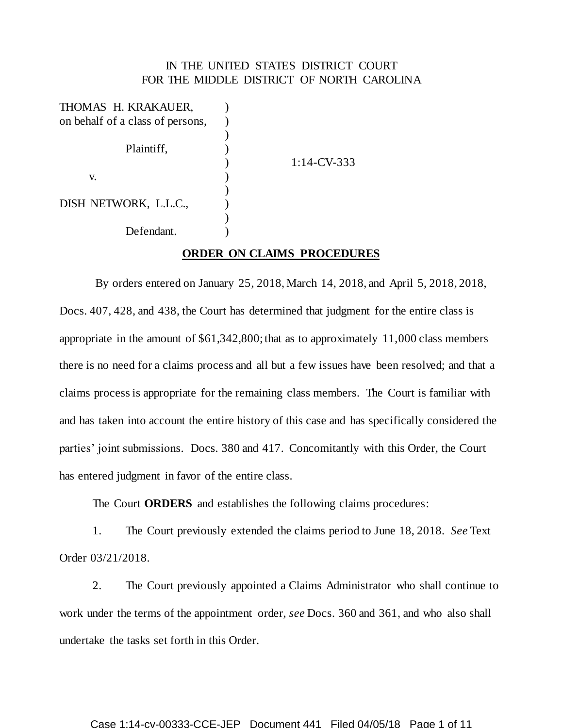## IN THE UNITED STATES DISTRICT COURT FOR THE MIDDLE DISTRICT OF NORTH CAROLINA

| $1:14$ -CV-333 |
|----------------|
|                |
|                |
|                |
|                |
|                |
|                |

## **ORDER ON CLAIMS PROCEDURES**

By orders entered on January 25, 2018, March 14, 2018, and April 5, 2018, 2018, Docs. 407, 428, and 438, the Court has determined that judgment for the entire class is appropriate in the amount of \$61,342,800; that as to approximately 11,000 class members there is no need for a claims process and all but a few issues have been resolved; and that a claims process is appropriate for the remaining class members. The Court is familiar with and has taken into account the entire history of this case and has specifically considered the parties' joint submissions. Docs. 380 and 417. Concomitantly with this Order, the Court has entered judgment in favor of the entire class.

The Court **ORDERS** and establishes the following claims procedures:

1. The Court previously extended the claims period to June 18, 2018. *See* Text Order 03/21/2018.

2. The Court previously appointed a Claims Administrator who shall continue to work under the terms of the appointment order, *see* Docs. 360 and 361, and who also shall undertake the tasks set forth in this Order.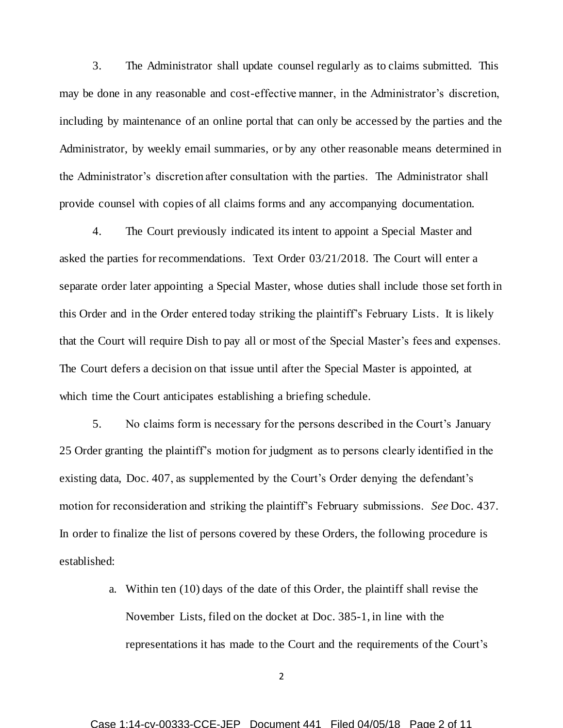3. The Administrator shall update counsel regularly as to claims submitted. This may be done in any reasonable and cost-effective manner, in the Administrator's discretion, including by maintenance of an online portal that can only be accessed by the parties and the Administrator, by weekly email summaries, or by any other reasonable means determined in the Administrator's discretion after consultation with the parties. The Administrator shall provide counsel with copies of all claims forms and any accompanying documentation.

4. The Court previously indicated its intent to appoint a Special Master and asked the parties for recommendations. Text Order 03/21/2018. The Court will enter a separate order later appointing a Special Master, whose duties shall include those set forth in this Order and in the Order entered today striking the plaintiff's February Lists. It is likely that the Court will require Dish to pay all or most of the Special Master's fees and expenses. The Court defers a decision on that issue until after the Special Master is appointed, at which time the Court anticipates establishing a briefing schedule.

5. No claims form is necessary for the persons described in the Court's January 25 Order granting the plaintiff's motion for judgment as to persons clearly identified in the existing data, Doc. 407, as supplemented by the Court's Order denying the defendant's motion for reconsideration and striking the plaintiff's February submissions. *See* Doc. 437. In order to finalize the list of persons covered by these Orders, the following procedure is established:

> a. Within ten (10) days of the date of this Order, the plaintiff shall revise the November Lists, filed on the docket at Doc. 385-1, in line with the representations it has made to the Court and the requirements of the Court's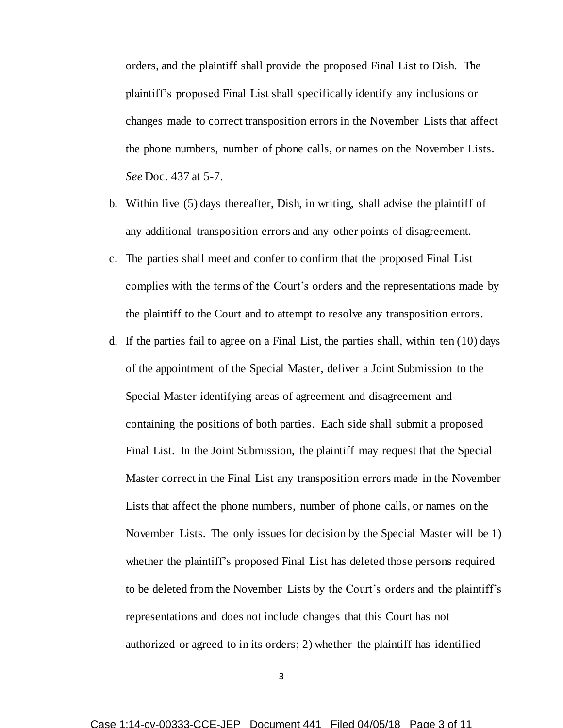orders, and the plaintiff shall provide the proposed Final List to Dish. The plaintiff's proposed Final List shall specifically identify any inclusions or changes made to correct transposition errors in the November Lists that affect the phone numbers, number of phone calls, or names on the November Lists. *See* Doc. 437 at 5-7.

- b. Within five (5) days thereafter, Dish, in writing, shall advise the plaintiff of any additional transposition errors and any other points of disagreement.
- c. The parties shall meet and confer to confirm that the proposed Final List complies with the terms of the Court's orders and the representations made by the plaintiff to the Court and to attempt to resolve any transposition errors.
- d. If the parties fail to agree on a Final List, the parties shall, within ten (10) days of the appointment of the Special Master, deliver a Joint Submission to the Special Master identifying areas of agreement and disagreement and containing the positions of both parties. Each side shall submit a proposed Final List. In the Joint Submission, the plaintiff may request that the Special Master correct in the Final List any transposition errors made in the November Lists that affect the phone numbers, number of phone calls, or names on the November Lists. The only issues for decision by the Special Master will be 1) whether the plaintiff's proposed Final List has deleted those persons required to be deleted from the November Lists by the Court's orders and the plaintiff's representations and does not include changes that this Court has not authorized or agreed to in its orders; 2) whether the plaintiff has identified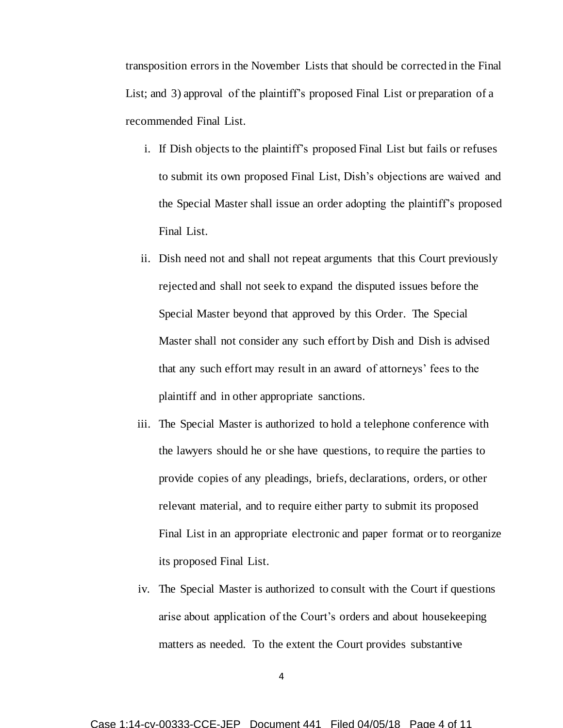transposition errors in the November Lists that should be corrected in the Final List; and 3) approval of the plaintiff's proposed Final List or preparation of a recommended Final List.

- i. If Dish objects to the plaintiff's proposed Final List but fails or refuses to submit its own proposed Final List, Dish's objections are waived and the Special Master shall issue an order adopting the plaintiff's proposed Final List.
- ii. Dish need not and shall not repeat arguments that this Court previously rejected and shall not seek to expand the disputed issues before the Special Master beyond that approved by this Order. The Special Master shall not consider any such effort by Dish and Dish is advised that any such effort may result in an award of attorneys' fees to the plaintiff and in other appropriate sanctions.
- iii. The Special Master is authorized to hold a telephone conference with the lawyers should he or she have questions, to require the parties to provide copies of any pleadings, briefs, declarations, orders, or other relevant material, and to require either party to submit its proposed Final List in an appropriate electronic and paper format or to reorganize its proposed Final List.
- iv. The Special Master is authorized to consult with the Court if questions arise about application of the Court's orders and about housekeeping matters as needed. To the extent the Court provides substantive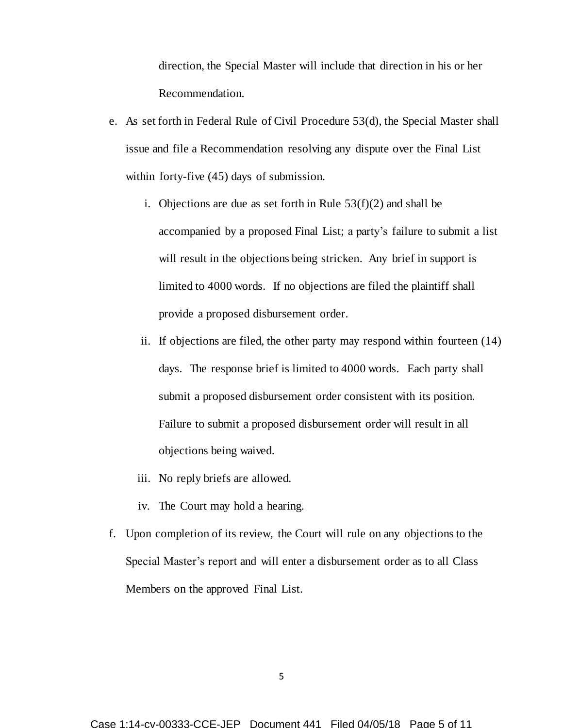direction, the Special Master will include that direction in his or her Recommendation.

- e. As set forth in Federal Rule of Civil Procedure 53(d), the Special Master shall issue and file a Recommendation resolving any dispute over the Final List within forty-five (45) days of submission.
	- i. Objections are due as set forth in Rule  $53(f)(2)$  and shall be accompanied by a proposed Final List; a party's failure to submit a list will result in the objections being stricken. Any brief in support is limited to 4000 words. If no objections are filed the plaintiff shall provide a proposed disbursement order.
	- ii. If objections are filed, the other party may respond within fourteen (14) days. The response brief is limited to 4000 words. Each party shall submit a proposed disbursement order consistent with its position. Failure to submit a proposed disbursement order will result in all objections being waived.
	- iii. No reply briefs are allowed.
	- iv. The Court may hold a hearing.
- f. Upon completion of its review, the Court will rule on any objections to the Special Master's report and will enter a disbursement order as to all Class Members on the approved Final List.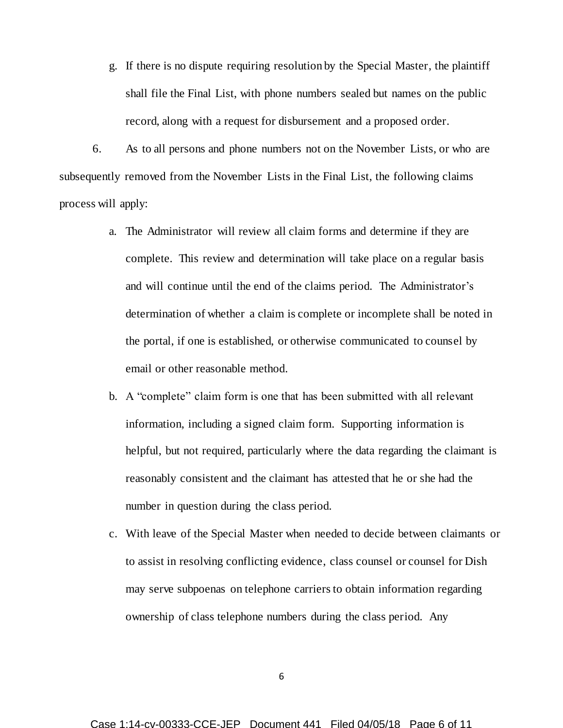g. If there is no dispute requiring resolution by the Special Master, the plaintiff shall file the Final List, with phone numbers sealed but names on the public record, along with a request for disbursement and a proposed order.

6. As to all persons and phone numbers not on the November Lists, or who are subsequently removed from the November Lists in the Final List, the following claims process will apply:

- a. The Administrator will review all claim forms and determine if they are complete. This review and determination will take place on a regular basis and will continue until the end of the claims period. The Administrator's determination of whether a claim is complete or incomplete shall be noted in the portal, if one is established, or otherwise communicated to counsel by email or other reasonable method.
- b. A "complete" claim form is one that has been submitted with all relevant information, including a signed claim form. Supporting information is helpful, but not required, particularly where the data regarding the claimant is reasonably consistent and the claimant has attested that he or she had the number in question during the class period.
- c. With leave of the Special Master when needed to decide between claimants or to assist in resolving conflicting evidence, class counsel or counsel for Dish may serve subpoenas on telephone carriers to obtain information regarding ownership of class telephone numbers during the class period. Any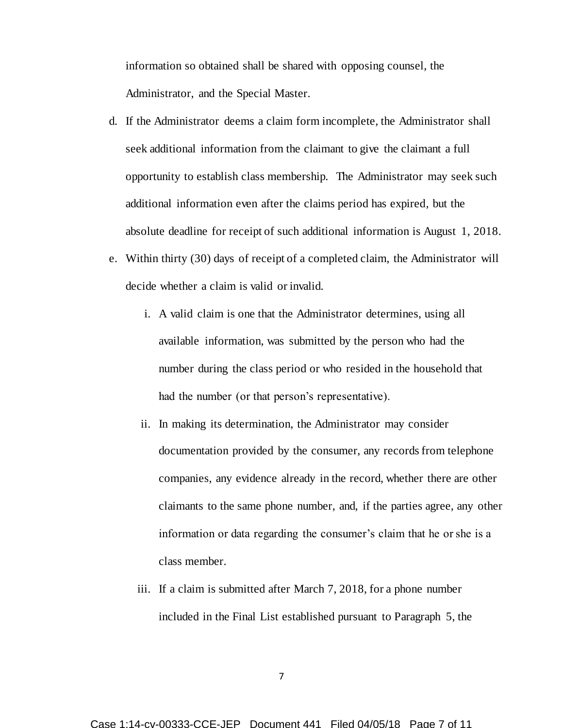information so obtained shall be shared with opposing counsel, the Administrator, and the Special Master.

- d. If the Administrator deems a claim form incomplete, the Administrator shall seek additional information from the claimant to give the claimant a full opportunity to establish class membership. The Administrator may seek such additional information even after the claims period has expired, but the absolute deadline for receipt of such additional information is August 1, 2018.
- e. Within thirty (30) days of receipt of a completed claim, the Administrator will decide whether a claim is valid or invalid.
	- i. A valid claim is one that the Administrator determines, using all available information, was submitted by the person who had the number during the class period or who resided in the household that had the number (or that person's representative).
	- ii. In making its determination, the Administrator may consider documentation provided by the consumer, any records from telephone companies, any evidence already in the record, whether there are other claimants to the same phone number, and, if the parties agree, any other information or data regarding the consumer's claim that he or she is a class member.
	- iii. If a claim is submitted after March 7, 2018, for a phone number included in the Final List established pursuant to Paragraph 5, the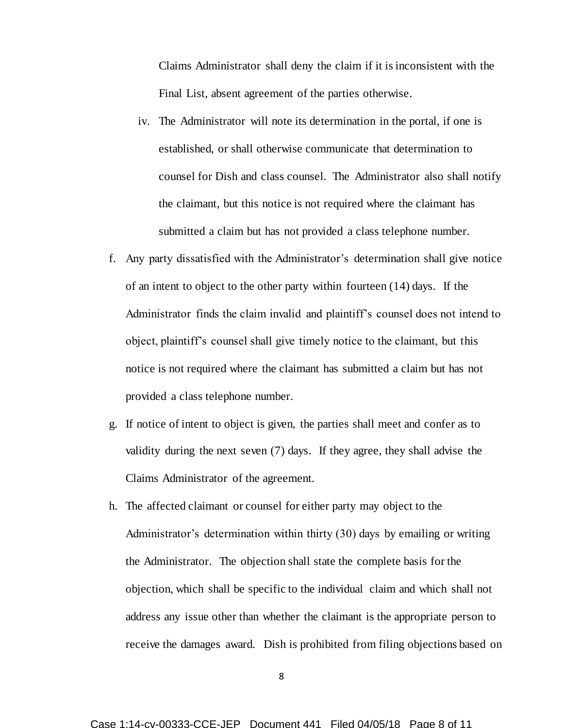Claims Administrator shall deny the claim if it is inconsistent with the Final List, absent agreement of the parties otherwise.

- iv. The Administrator will note its determination in the portal, if one is established, or shall otherwise communicate that determination to counsel for Dish and class counsel. The Administrator also shall notify the claimant, but this notice is not required where the claimant has submitted a claim but has not provided a class telephone number.
- f. Any party dissatisfied with the Administrator's determination shall give notice of an intent to object to the other party within fourteen (14) days. If the Administrator finds the claim invalid and plaintiff's counsel does not intend to object, plaintiff's counsel shall give timely notice to the claimant, but this notice is not required where the claimant has submitted a claim but has not provided a class telephone number.
- g. If notice of intent to object is given, the parties shall meet and confer as to validity during the next seven (7) days. If they agree, they shall advise the Claims Administrator of the agreement.
- h. The affected claimant or counsel for either party may object to the Administrator's determination within thirty (30) days by emailing or writing the Administrator. The objection shall state the complete basis for the objection, which shall be specific to the individual claim and which shall not address any issue other than whether the claimant is the appropriate person to receive the damages award. Dish is prohibited from filing objections based on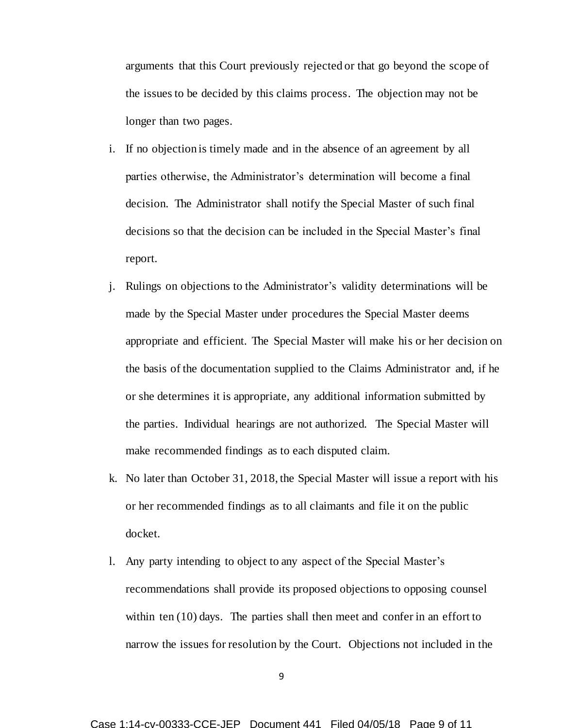arguments that this Court previously rejected or that go beyond the scope of the issues to be decided by this claims process. The objection may not be longer than two pages.

- i. If no objection is timely made and in the absence of an agreement by all parties otherwise, the Administrator's determination will become a final decision. The Administrator shall notify the Special Master of such final decisions so that the decision can be included in the Special Master's final report.
- j. Rulings on objections to the Administrator's validity determinations will be made by the Special Master under procedures the Special Master deems appropriate and efficient. The Special Master will make his or her decision on the basis of the documentation supplied to the Claims Administrator and, if he or she determines it is appropriate, any additional information submitted by the parties. Individual hearings are not authorized. The Special Master will make recommended findings as to each disputed claim.
- k. No later than October 31, 2018, the Special Master will issue a report with his or her recommended findings as to all claimants and file it on the public docket.
- l. Any party intending to object to any aspect of the Special Master's recommendations shall provide its proposed objections to opposing counsel within ten (10) days. The parties shall then meet and confer in an effort to narrow the issues for resolution by the Court. Objections not included in the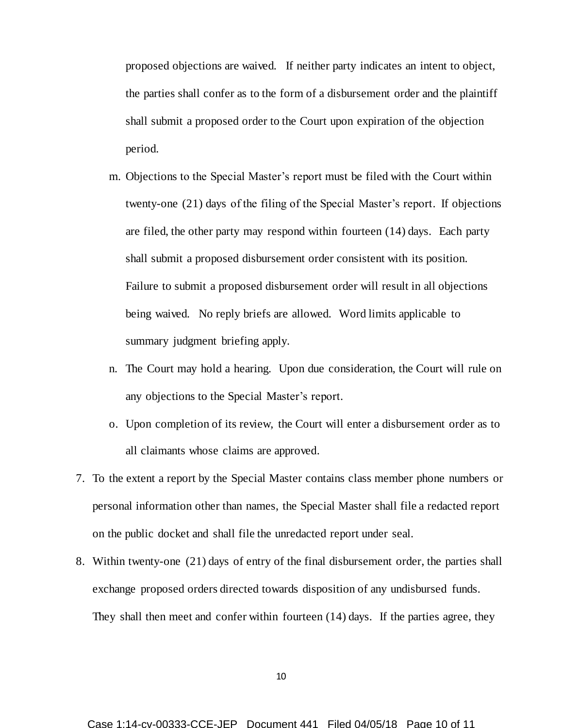proposed objections are waived. If neither party indicates an intent to object, the parties shall confer as to the form of a disbursement order and the plaintiff shall submit a proposed order to the Court upon expiration of the objection period.

- m. Objections to the Special Master's report must be filed with the Court within twenty-one (21) days of the filing of the Special Master's report. If objections are filed, the other party may respond within fourteen (14) days. Each party shall submit a proposed disbursement order consistent with its position. Failure to submit a proposed disbursement order will result in all objections being waived. No reply briefs are allowed. Word limits applicable to summary judgment briefing apply.
- n. The Court may hold a hearing. Upon due consideration, the Court will rule on any objections to the Special Master's report.
- o. Upon completion of its review, the Court will enter a disbursement order as to all claimants whose claims are approved.
- 7. To the extent a report by the Special Master contains class member phone numbers or personal information other than names, the Special Master shall file a redacted report on the public docket and shall file the unredacted report under seal.
- 8. Within twenty-one (21) days of entry of the final disbursement order, the parties shall exchange proposed orders directed towards disposition of any undisbursed funds. They shall then meet and confer within fourteen (14) days. If the parties agree, they